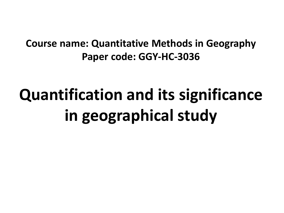## **Course name: Quantitative Methods in Geography Paper code: GGY-HC-3036**

# **Quantification and its significance in geographical study**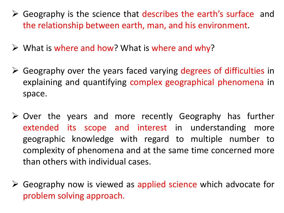- ➢ Geography is the science that describes the earth's surface and the relationship between earth, man, and his environment.
- $\triangleright$  What is where and how? What is where and why?
- ➢ Geography over the years faced varying degrees of difficulties in explaining and quantifying complex geographical phenomena in space.
- ➢ Over the years and more recently Geography has further extended its scope and interest in understanding more geographic knowledge with regard to multiple number to complexity of phenomena and at the same time concerned more than others with individual cases.
- ➢ Geography now is viewed as applied science which advocate for problem solving approach.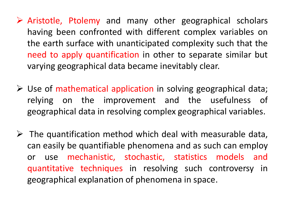- ➢ Aristotle, Ptolemy and many other geographical scholars having been confronted with different complex variables on the earth surface with unanticipated complexity such that the need to apply quantification in other to separate similar but varying geographical data became inevitably clear.
- $\triangleright$  Use of mathematical application in solving geographical data; relying on the improvement and the usefulness of geographical data in resolving complex geographical variables.
- $\triangleright$  The quantification method which deal with measurable data, can easily be quantifiable phenomena and as such can employ or use mechanistic, stochastic, statistics models and quantitative techniques in resolving such controversy in geographical explanation of phenomena in space.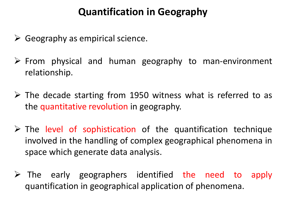## **Quantification in Geography**

- $\triangleright$  Geography as empirical science.
- ➢ From physical and human geography to man-environment relationship.
- $\triangleright$  The decade starting from 1950 witness what is referred to as the quantitative revolution in geography.
- $\triangleright$  The level of sophistication of the quantification technique involved in the handling of complex geographical phenomena in space which generate data analysis.
- ➢ The early geographers identified the need to apply quantification in geographical application of phenomena.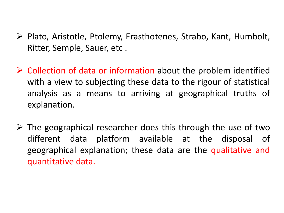- ➢ Plato, Aristotle, Ptolemy, Erasthotenes, Strabo, Kant, Humbolt, Ritter, Semple, Sauer, etc .
- $\triangleright$  Collection of data or information about the problem identified with a view to subjecting these data to the rigour of statistical analysis as a means to arriving at geographical truths of explanation.
- $\triangleright$  The geographical researcher does this through the use of two different data platform available at the disposal of geographical explanation; these data are the qualitative and quantitative data.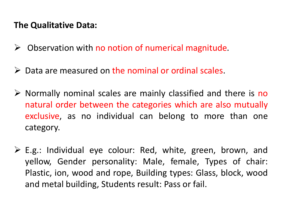#### **The Qualitative Data:**

- $\triangleright$  Observation with no notion of numerical magnitude.
- $\triangleright$  Data are measured on the nominal or ordinal scales.
- $\triangleright$  Normally nominal scales are mainly classified and there is no natural order between the categories which are also mutually exclusive, as no individual can belong to more than one category.
- $\triangleright$  E.g.: Individual eye colour: Red, white, green, brown, and yellow, Gender personality: Male, female, Types of chair: Plastic, ion, wood and rope, Building types: Glass, block, wood and metal building, Students result: Pass or fail.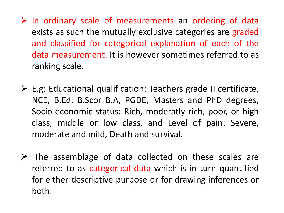$\triangleright$  In ordinary scale of measurements an ordering of data exists as such the mutually exclusive categories are graded and classified for categorical explanation of each of the data measurement. It is however sometimes referred to as ranking scale.

- $\triangleright$  E.g: Educational qualification: Teachers grade II certificate, NCE, B.Ed, B.Scor B.A, PGDE, Masters and PhD degrees, Socio-economic status: Rich, moderatly rich, poor, or high class, middle or low class, and Level of pain: Severe, moderate and mild, Death and survival.
- ➢ The assemblage of data collected on these scales are referred to as categorical data which is in turn quantified for either descriptive purpose or for drawing inferences or both.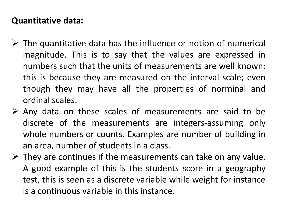#### **Quantitative data:**

- $\triangleright$  The quantitative data has the influence or notion of numerical magnitude. This is to say that the values are expressed in numbers such that the units of measurements are well known; this is because they are measured on the interval scale; even though they may have all the properties of norminal and ordinal scales.
- $\triangleright$  Any data on these scales of measurements are said to be discrete of the measurements are integers-assuming only whole numbers or counts. Examples are number of building in an area, number of students in a class.
- $\triangleright$  They are continues if the measurements can take on any value. A good example of this is the students score in a geography test, this is seen as a discrete variable while weight for instance is a continuous variable in this instance.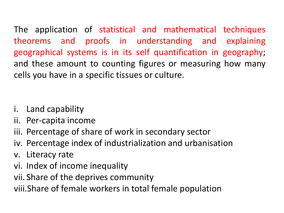The application of statistical and mathematical techniques theorems and proofs in understanding and explaining geographical systems is in its self quantification in geography; and these amount to counting figures or measuring how many cells you have in a specific tissues or culture.

- i. Land capability
- ii. Per-capita income
- iii. Percentage of share of work in secondary sector
- iv. Percentage index of industrialization and urbanisation
- v. Literacy rate
- vi. Index of income inequality
- vii. Share of the deprives community
- viii.Share of female workers in total female population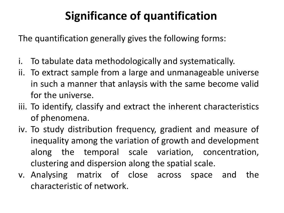# **Significance of quantification**

The quantification generally gives the following forms:

- i. To tabulate data methodologically and systematically.
- ii. To extract sample from a large and unmanageable universe in such a manner that anlaysis with the same become valid for the universe.
- iii. To identify, classify and extract the inherent characteristics of phenomena.
- iv. To study distribution frequency, gradient and measure of inequality among the variation of growth and development along the temporal scale variation, concentration, clustering and dispersion along the spatial scale.
- v. Analysing matrix of close across space and the characteristic of network.